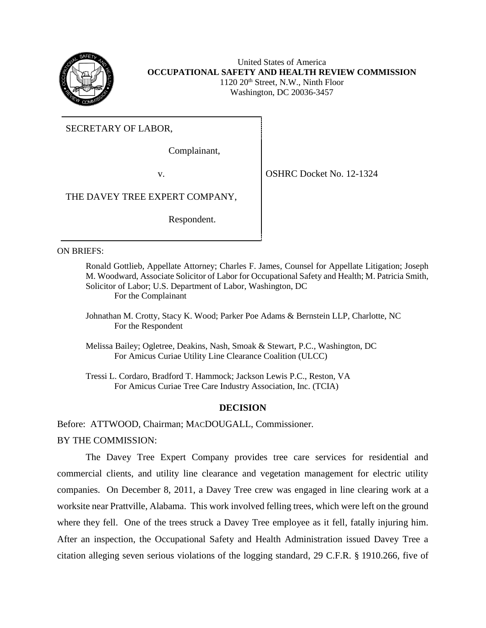

United States of America **OCCUPATIONAL SAFETY AND HEALTH REVIEW COMMISSION**  $1120 20<sup>th</sup>$  Street, N.W., Ninth Floor Washington, DC 20036-3457

SECRETARY OF LABOR,

Complainant,

v. **OSHRC Docket No. 12-1324** 

THE DAVEY TREE EXPERT COMPANY,

Respondent.

## ON BRIEFS:

- Ronald Gottlieb, Appellate Attorney; Charles F. James, Counsel for Appellate Litigation; Joseph M. Woodward, Associate Solicitor of Labor for Occupational Safety and Health; M. Patricia Smith, Solicitor of Labor; U.S. Department of Labor, Washington, DC For the Complainant
- Johnathan M. Crotty, Stacy K. Wood; Parker Poe Adams & Bernstein LLP, Charlotte, NC For the Respondent
- Melissa Bailey; Ogletree, Deakins, Nash, Smoak & Stewart, P.C., Washington, DC For Amicus Curiae Utility Line Clearance Coalition (ULCC)

Tressi L. Cordaro, Bradford T. Hammock; Jackson Lewis P.C., Reston, VA For Amicus Curiae Tree Care Industry Association, Inc. (TCIA)

# **DECISION**

Before: ATTWOOD, Chairman; MACDOUGALL, Commissioner.

BY THE COMMISSION:

The Davey Tree Expert Company provides tree care services for residential and commercial clients, and utility line clearance and vegetation management for electric utility companies. On December 8, 2011, a Davey Tree crew was engaged in line clearing work at a worksite near Prattville, Alabama. This work involved felling trees, which were left on the ground where they fell. One of the trees struck a Davey Tree employee as it fell, fatally injuring him. After an inspection, the Occupational Safety and Health Administration issued Davey Tree a citation alleging seven serious violations of the logging standard, 29 C.F.R. § 1910.266, five of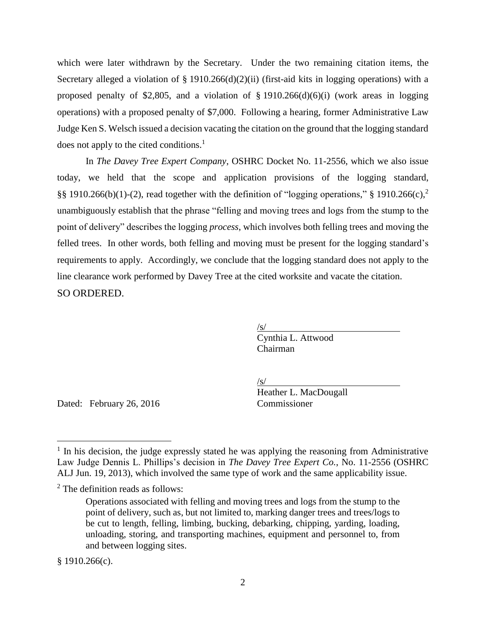which were later withdrawn by the Secretary. Under the two remaining citation items, the Secretary alleged a violation of  $\S$  1910.266(d)(2)(ii) (first-aid kits in logging operations) with a proposed penalty of \$2,805, and a violation of  $\S$  1910.266(d)(6)(i) (work areas in logging operations) with a proposed penalty of \$7,000. Following a hearing, former Administrative Law Judge Ken S. Welsch issued a decision vacating the citation on the ground that the logging standard does not apply to the cited conditions.<sup>1</sup>

In *The Davey Tree Expert Company*, OSHRC Docket No. 11-2556, which we also issue today, we held that the scope and application provisions of the logging standard, §§ 1910.266(b)(1)-(2), read together with the definition of "logging operations," § 1910.266(c),<sup>2</sup> unambiguously establish that the phrase "felling and moving trees and logs from the stump to the point of delivery" describes the logging *process*, which involves both felling trees and moving the felled trees. In other words, both felling and moving must be present for the logging standard's requirements to apply. Accordingly, we conclude that the logging standard does not apply to the line clearance work performed by Davey Tree at the cited worksite and vacate the citation. SO ORDERED.

> /s/ Cynthia L. Attwood Chairman

/s/

Heather L. MacDougall

Dated: February 26, 2016 Commissioner

 $§ 1910.266(c).$ 

 $<sup>1</sup>$  In his decision, the judge expressly stated he was applying the reasoning from Administrative</sup> Law Judge Dennis L. Phillips's decision in *The Davey Tree Expert Co.*, No. 11-2556 (OSHRC ALJ Jun. 19, 2013), which involved the same type of work and the same applicability issue.

<sup>2</sup> The definition reads as follows:

Operations associated with felling and moving trees and logs from the stump to the point of delivery, such as, but not limited to, marking danger trees and trees/logs to be cut to length, felling, limbing, bucking, debarking, chipping, yarding, loading, unloading, storing, and transporting machines, equipment and personnel to, from and between logging sites.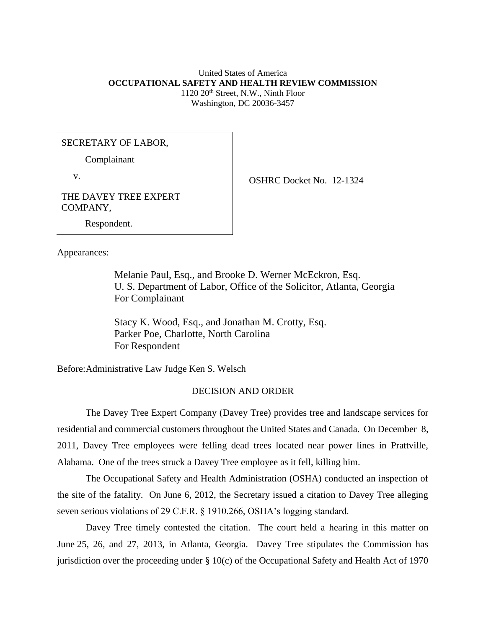### United States of America **OCCUPATIONAL SAFETY AND HEALTH REVIEW COMMISSION** 1120 20th Street, N.W., Ninth Floor Washington, DC 20036-3457

## SECRETARY OF LABOR,

Complainant

v.

OSHRC Docket No. 12-1324

THE DAVEY TREE EXPERT COMPANY,

Respondent.

Appearances:

Melanie Paul, Esq., and Brooke D. Werner McEckron, Esq. U. S. Department of Labor, Office of the Solicitor, Atlanta, Georgia For Complainant

Stacy K. Wood, Esq., and Jonathan M. Crotty, Esq. Parker Poe, Charlotte, North Carolina For Respondent

Before:Administrative Law Judge Ken S. Welsch

### DECISION AND ORDER

The Davey Tree Expert Company (Davey Tree) provides tree and landscape services for residential and commercial customers throughout the United States and Canada. On December 8, 2011, Davey Tree employees were felling dead trees located near power lines in Prattville, Alabama. One of the trees struck a Davey Tree employee as it fell, killing him.

The Occupational Safety and Health Administration (OSHA) conducted an inspection of the site of the fatality. On June 6, 2012, the Secretary issued a citation to Davey Tree alleging seven serious violations of 29 C.F.R. § 1910.266, OSHA's logging standard.

Davey Tree timely contested the citation. The court held a hearing in this matter on June 25, 26, and 27, 2013, in Atlanta, Georgia. Davey Tree stipulates the Commission has jurisdiction over the proceeding under § 10(c) of the Occupational Safety and Health Act of 1970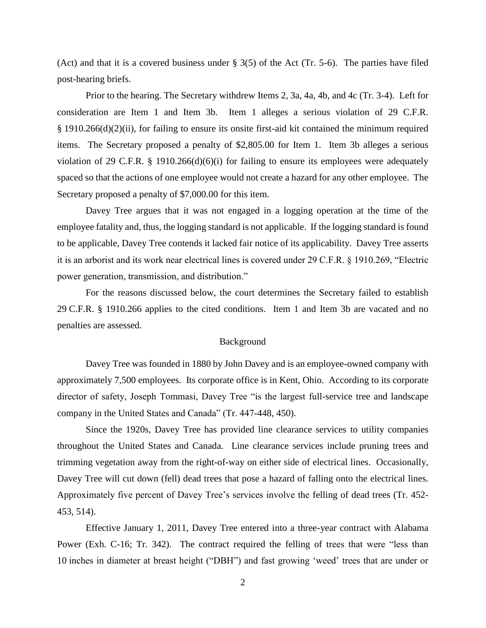(Act) and that it is a covered business under § 3(5) of the Act (Tr. 5-6). The parties have filed post-hearing briefs.

Prior to the hearing. The Secretary withdrew Items 2, 3a, 4a, 4b, and 4c (Tr. 3-4). Left for consideration are Item 1 and Item 3b. Item 1 alleges a serious violation of 29 C.F.R. § 1910.266(d)(2)(ii), for failing to ensure its onsite first-aid kit contained the minimum required items. The Secretary proposed a penalty of \$2,805.00 for Item 1. Item 3b alleges a serious violation of 29 C.F.R. § 1910.266(d)(6)(i) for failing to ensure its employees were adequately spaced so that the actions of one employee would not create a hazard for any other employee. The Secretary proposed a penalty of \$7,000.00 for this item.

Davey Tree argues that it was not engaged in a logging operation at the time of the employee fatality and, thus, the logging standard is not applicable. If the logging standard is found to be applicable, Davey Tree contends it lacked fair notice of its applicability. Davey Tree asserts it is an arborist and its work near electrical lines is covered under 29 C.F.R. § 1910.269, "Electric power generation, transmission, and distribution."

For the reasons discussed below, the court determines the Secretary failed to establish 29 C.F.R. § 1910.266 applies to the cited conditions. Item 1 and Item 3b are vacated and no penalties are assessed.

### Background

Davey Tree was founded in 1880 by John Davey and is an employee-owned company with approximately 7,500 employees. Its corporate office is in Kent, Ohio. According to its corporate director of safety, Joseph Tommasi, Davey Tree "is the largest full-service tree and landscape company in the United States and Canada" (Tr. 447-448, 450).

Since the 1920s, Davey Tree has provided line clearance services to utility companies throughout the United States and Canada. Line clearance services include pruning trees and trimming vegetation away from the right-of-way on either side of electrical lines. Occasionally, Davey Tree will cut down (fell) dead trees that pose a hazard of falling onto the electrical lines. Approximately five percent of Davey Tree's services involve the felling of dead trees (Tr. 452- 453, 514).

Effective January 1, 2011, Davey Tree entered into a three-year contract with Alabama Power (Exh. C-16; Tr. 342). The contract required the felling of trees that were "less than 10 inches in diameter at breast height ("DBH") and fast growing 'weed' trees that are under or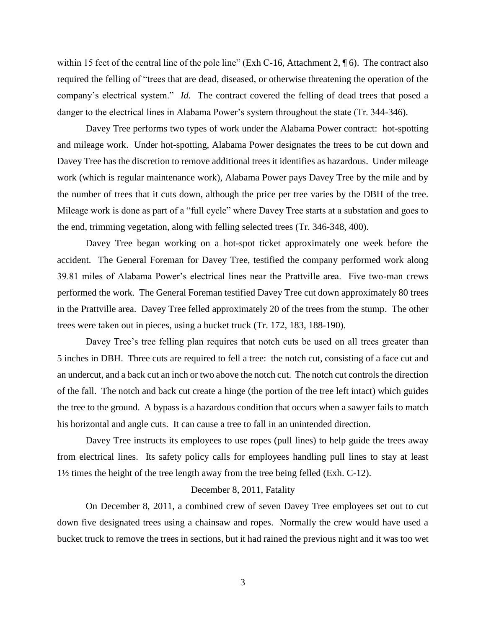within 15 feet of the central line of the pole line" (Exh C-16, Attachment 2,  $\parallel$  6). The contract also required the felling of "trees that are dead, diseased, or otherwise threatening the operation of the company's electrical system." *Id*. The contract covered the felling of dead trees that posed a danger to the electrical lines in Alabama Power's system throughout the state (Tr. 344-346).

Davey Tree performs two types of work under the Alabama Power contract: hot-spotting and mileage work. Under hot-spotting, Alabama Power designates the trees to be cut down and Davey Tree has the discretion to remove additional trees it identifies as hazardous. Under mileage work (which is regular maintenance work), Alabama Power pays Davey Tree by the mile and by the number of trees that it cuts down, although the price per tree varies by the DBH of the tree. Mileage work is done as part of a "full cycle" where Davey Tree starts at a substation and goes to the end, trimming vegetation, along with felling selected trees (Tr. 346-348, 400).

Davey Tree began working on a hot-spot ticket approximately one week before the accident. The General Foreman for Davey Tree, testified the company performed work along 39.81 miles of Alabama Power's electrical lines near the Prattville area. Five two-man crews performed the work. The General Foreman testified Davey Tree cut down approximately 80 trees in the Prattville area. Davey Tree felled approximately 20 of the trees from the stump. The other trees were taken out in pieces, using a bucket truck (Tr. 172, 183, 188-190).

Davey Tree's tree felling plan requires that notch cuts be used on all trees greater than 5 inches in DBH. Three cuts are required to fell a tree: the notch cut, consisting of a face cut and an undercut, and a back cut an inch or two above the notch cut. The notch cut controls the direction of the fall. The notch and back cut create a hinge (the portion of the tree left intact) which guides the tree to the ground. A bypass is a hazardous condition that occurs when a sawyer fails to match his horizontal and angle cuts. It can cause a tree to fall in an unintended direction.

Davey Tree instructs its employees to use ropes (pull lines) to help guide the trees away from electrical lines. Its safety policy calls for employees handling pull lines to stay at least 1½ times the height of the tree length away from the tree being felled (Exh. C-12).

### December 8, 2011, Fatality

On December 8, 2011, a combined crew of seven Davey Tree employees set out to cut down five designated trees using a chainsaw and ropes. Normally the crew would have used a bucket truck to remove the trees in sections, but it had rained the previous night and it was too wet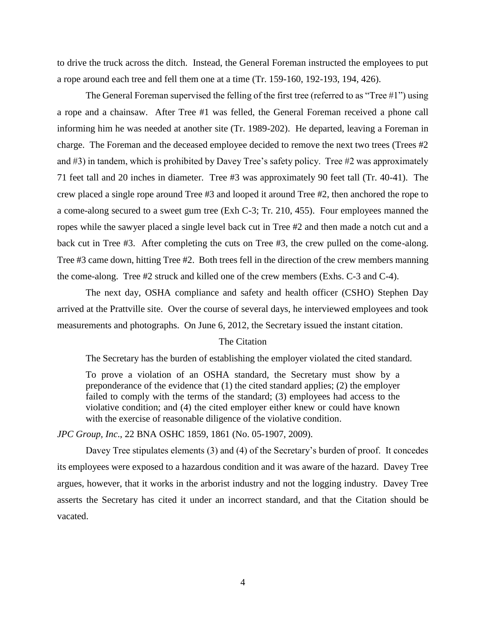to drive the truck across the ditch. Instead, the General Foreman instructed the employees to put a rope around each tree and fell them one at a time (Tr. 159-160, 192-193, 194, 426).

The General Foreman supervised the felling of the first tree (referred to as "Tree #1") using a rope and a chainsaw. After Tree #1 was felled, the General Foreman received a phone call informing him he was needed at another site (Tr. 1989-202). He departed, leaving a Foreman in charge. The Foreman and the deceased employee decided to remove the next two trees (Trees #2 and #3) in tandem, which is prohibited by Davey Tree's safety policy. Tree #2 was approximately 71 feet tall and 20 inches in diameter. Tree #3 was approximately 90 feet tall (Tr. 40-41). The crew placed a single rope around Tree #3 and looped it around Tree #2, then anchored the rope to a come-along secured to a sweet gum tree (Exh C-3; Tr. 210, 455). Four employees manned the ropes while the sawyer placed a single level back cut in Tree #2 and then made a notch cut and a back cut in Tree #3. After completing the cuts on Tree #3, the crew pulled on the come-along. Tree #3 came down, hitting Tree #2. Both trees fell in the direction of the crew members manning the come-along. Tree #2 struck and killed one of the crew members (Exhs. C-3 and C-4).

The next day, OSHA compliance and safety and health officer (CSHO) Stephen Day arrived at the Prattville site. Over the course of several days, he interviewed employees and took measurements and photographs. On June 6, 2012, the Secretary issued the instant citation.

### The Citation

The Secretary has the burden of establishing the employer violated the cited standard.

To prove a violation of an OSHA standard, the Secretary must show by a preponderance of the evidence that (1) the cited standard applies; (2) the employer failed to comply with the terms of the standard; (3) employees had access to the violative condition; and (4) the cited employer either knew or could have known with the exercise of reasonable diligence of the violative condition.

*JPC Group, Inc*., 22 BNA OSHC 1859, 1861 (No. 05-1907, 2009).

Davey Tree stipulates elements (3) and (4) of the Secretary's burden of proof. It concedes its employees were exposed to a hazardous condition and it was aware of the hazard. Davey Tree argues, however, that it works in the arborist industry and not the logging industry. Davey Tree asserts the Secretary has cited it under an incorrect standard, and that the Citation should be vacated.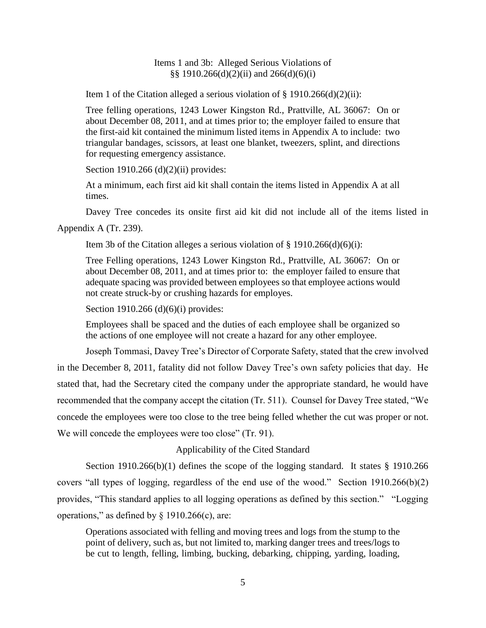## Items 1 and 3b: Alleged Serious Violations of §§ 1910.266(d)(2)(ii) and 266(d)(6)(i)

Item 1 of the Citation alleged a serious violation of  $\S 1910.266(d)(2)(ii)$ :

Tree felling operations, 1243 Lower Kingston Rd., Prattville, AL 36067: On or about December 08, 2011, and at times prior to; the employer failed to ensure that the first-aid kit contained the minimum listed items in Appendix A to include: two triangular bandages, scissors, at least one blanket, tweezers, splint, and directions for requesting emergency assistance.

Section 1910.266 (d)(2)(ii) provides:

At a minimum, each first aid kit shall contain the items listed in Appendix A at all times.

Davey Tree concedes its onsite first aid kit did not include all of the items listed in

Appendix A (Tr. 239).

Item 3b of the Citation alleges a serious violation of  $\S$  1910.266(d)(6)(i):

Tree Felling operations, 1243 Lower Kingston Rd., Prattville, AL 36067: On or about December 08, 2011, and at times prior to: the employer failed to ensure that adequate spacing was provided between employees so that employee actions would not create struck-by or crushing hazards for employes.

Section 1910.266 (d)(6)(i) provides:

Employees shall be spaced and the duties of each employee shall be organized so the actions of one employee will not create a hazard for any other employee.

Joseph Tommasi, Davey Tree's Director of Corporate Safety, stated that the crew involved in the December 8, 2011, fatality did not follow Davey Tree's own safety policies that day. He stated that, had the Secretary cited the company under the appropriate standard, he would have recommended that the company accept the citation (Tr. 511). Counsel for Davey Tree stated, "We concede the employees were too close to the tree being felled whether the cut was proper or not. We will concede the employees were too close" (Tr. 91).

### Applicability of the Cited Standard

Section 1910.266(b)(1) defines the scope of the logging standard. It states § 1910.266 covers "all types of logging, regardless of the end use of the wood." Section 1910.266(b)(2) provides, "This standard applies to all logging operations as defined by this section." "Logging operations," as defined by  $\S$  1910.266(c), are:

Operations associated with felling and moving trees and logs from the stump to the point of delivery, such as, but not limited to, marking danger trees and trees/logs to be cut to length, felling, limbing, bucking, debarking, chipping, yarding, loading,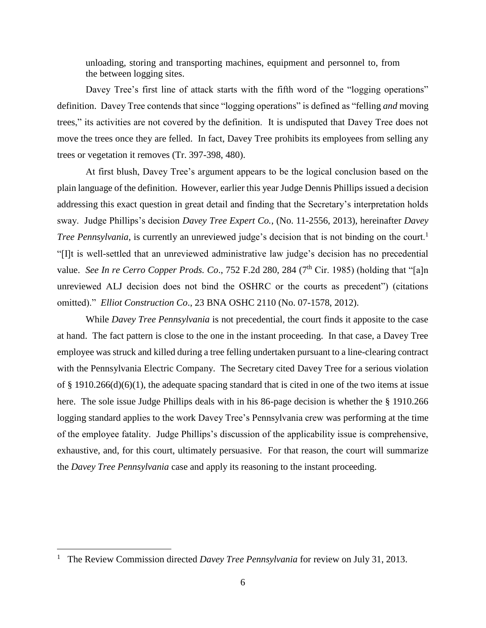unloading, storing and transporting machines, equipment and personnel to, from the between logging sites.

Davey Tree's first line of attack starts with the fifth word of the "logging operations" definition. Davey Tree contends that since "logging operations" is defined as "felling *and* moving trees," its activities are not covered by the definition. It is undisputed that Davey Tree does not move the trees once they are felled. In fact, Davey Tree prohibits its employees from selling any trees or vegetation it removes (Tr. 397-398, 480).

At first blush, Davey Tree's argument appears to be the logical conclusion based on the plain language of the definition. However, earlier this year Judge Dennis Phillips issued a decision addressing this exact question in great detail and finding that the Secretary's interpretation holds sway. Judge Phillips's decision *Davey Tree Expert Co.*, (No. 11-2556, 2013), hereinafter *Davey Tree Pennsylvania*, is currently an unreviewed judge's decision that is not binding on the court.<sup>1</sup> "[I]t is well-settled that an unreviewed administrative law judge's decision has no precedential value. *See In re Cerro Copper Prods. Co.*, 752 F.2d 280, 284 (7<sup>th</sup> Cir. 1985) (holding that "[a]n unreviewed ALJ decision does not bind the OSHRC or the courts as precedent") (citations omitted)." *Elliot Construction Co*., 23 BNA OSHC 2110 (No. 07-1578, 2012).

While *Davey Tree Pennsylvania* is not precedential, the court finds it apposite to the case at hand. The fact pattern is close to the one in the instant proceeding. In that case, a Davey Tree employee was struck and killed during a tree felling undertaken pursuant to a line-clearing contract with the Pennsylvania Electric Company. The Secretary cited Davey Tree for a serious violation of § 1910.266(d)(6)(1), the adequate spacing standard that is cited in one of the two items at issue here. The sole issue Judge Phillips deals with in his 86-page decision is whether the § 1910.266 logging standard applies to the work Davey Tree's Pennsylvania crew was performing at the time of the employee fatality. Judge Phillips's discussion of the applicability issue is comprehensive, exhaustive, and, for this court, ultimately persuasive. For that reason, the court will summarize the *Davey Tree Pennsylvania* case and apply its reasoning to the instant proceeding.

 $\overline{a}$ 

<sup>1</sup> The Review Commission directed *Davey Tree Pennsylvania* for review on July 31, 2013.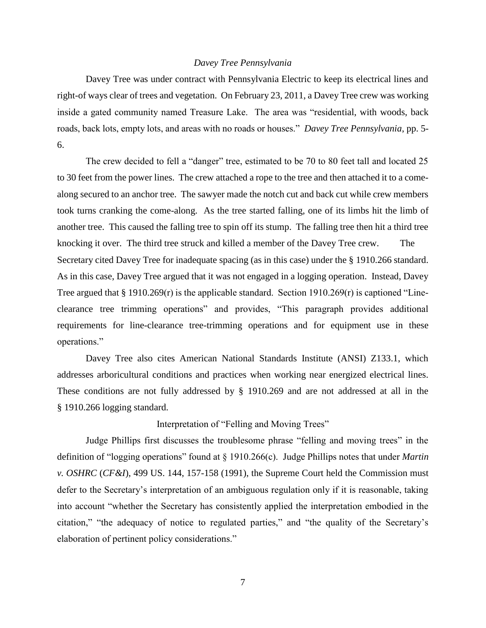### *Davey Tree Pennsylvania*

Davey Tree was under contract with Pennsylvania Electric to keep its electrical lines and right-of ways clear of trees and vegetation. On February 23, 2011, a Davey Tree crew was working inside a gated community named Treasure Lake. The area was "residential, with woods, back roads, back lots, empty lots, and areas with no roads or houses." *Davey Tree Pennsylvania*, pp. 5- 6.

The crew decided to fell a "danger" tree, estimated to be 70 to 80 feet tall and located 25 to 30 feet from the power lines. The crew attached a rope to the tree and then attached it to a comealong secured to an anchor tree. The sawyer made the notch cut and back cut while crew members took turns cranking the come-along. As the tree started falling, one of its limbs hit the limb of another tree. This caused the falling tree to spin off its stump. The falling tree then hit a third tree knocking it over. The third tree struck and killed a member of the Davey Tree crew. The Secretary cited Davey Tree for inadequate spacing (as in this case) under the § 1910.266 standard. As in this case, Davey Tree argued that it was not engaged in a logging operation. Instead, Davey Tree argued that  $\S 1910.269(r)$  is the applicable standard. Section 1910.269(r) is captioned "Lineclearance tree trimming operations" and provides, "This paragraph provides additional requirements for line-clearance tree-trimming operations and for equipment use in these operations."

Davey Tree also cites American National Standards Institute (ANSI) Z133.1, which addresses arboricultural conditions and practices when working near energized electrical lines. These conditions are not fully addressed by § 1910.269 and are not addressed at all in the § 1910.266 logging standard.

### Interpretation of "Felling and Moving Trees"

Judge Phillips first discusses the troublesome phrase "felling and moving trees" in the definition of "logging operations" found at § 1910.266(c). Judge Phillips notes that under *Martin v. OSHRC* (*CF&I*), 499 US. 144, 157-158 (1991), the Supreme Court held the Commission must defer to the Secretary's interpretation of an ambiguous regulation only if it is reasonable, taking into account "whether the Secretary has consistently applied the interpretation embodied in the citation," "the adequacy of notice to regulated parties," and "the quality of the Secretary's elaboration of pertinent policy considerations."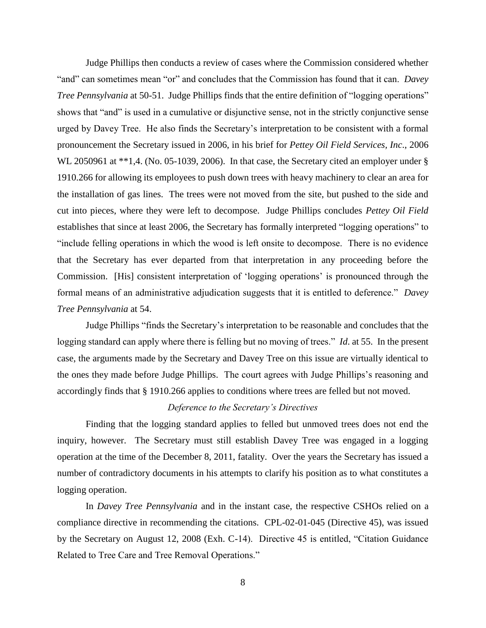Judge Phillips then conducts a review of cases where the Commission considered whether "and" can sometimes mean "or" and concludes that the Commission has found that it can. *Davey Tree Pennsylvania* at 50-51. Judge Phillips finds that the entire definition of "logging operations" shows that "and" is used in a cumulative or disjunctive sense, not in the strictly conjunctive sense urged by Davey Tree. He also finds the Secretary's interpretation to be consistent with a formal pronouncement the Secretary issued in 2006, in his brief for *Pettey Oil Field Services, Inc*., 2006 WL 2050961 at \*\*1,4. (No. 05-1039, 2006). In that case, the Secretary cited an employer under § 1910.266 for allowing its employees to push down trees with heavy machinery to clear an area for the installation of gas lines. The trees were not moved from the site, but pushed to the side and cut into pieces, where they were left to decompose. Judge Phillips concludes *Pettey Oil Field* establishes that since at least 2006, the Secretary has formally interpreted "logging operations" to "include felling operations in which the wood is left onsite to decompose. There is no evidence that the Secretary has ever departed from that interpretation in any proceeding before the Commission. [His] consistent interpretation of 'logging operations' is pronounced through the formal means of an administrative adjudication suggests that it is entitled to deference." *Davey Tree Pennsylvania* at 54.

Judge Phillips "finds the Secretary's interpretation to be reasonable and concludes that the logging standard can apply where there is felling but no moving of trees." *Id*. at 55. In the present case, the arguments made by the Secretary and Davey Tree on this issue are virtually identical to the ones they made before Judge Phillips. The court agrees with Judge Phillips's reasoning and accordingly finds that § 1910.266 applies to conditions where trees are felled but not moved.

# *Deference to the Secretary's Directives*

Finding that the logging standard applies to felled but unmoved trees does not end the inquiry, however. The Secretary must still establish Davey Tree was engaged in a logging operation at the time of the December 8, 2011, fatality. Over the years the Secretary has issued a number of contradictory documents in his attempts to clarify his position as to what constitutes a logging operation.

In *Davey Tree Pennsylvania* and in the instant case, the respective CSHOs relied on a compliance directive in recommending the citations. CPL-02-01-045 (Directive 45), was issued by the Secretary on August 12, 2008 (Exh. C-14). Directive 45 is entitled, "Citation Guidance Related to Tree Care and Tree Removal Operations."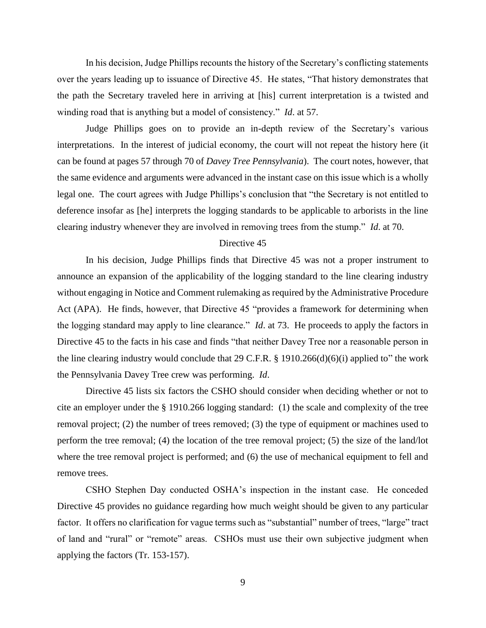In his decision, Judge Phillips recounts the history of the Secretary's conflicting statements over the years leading up to issuance of Directive 45. He states, "That history demonstrates that the path the Secretary traveled here in arriving at [his] current interpretation is a twisted and winding road that is anything but a model of consistency." *Id*. at 57.

Judge Phillips goes on to provide an in-depth review of the Secretary's various interpretations. In the interest of judicial economy, the court will not repeat the history here (it can be found at pages 57 through 70 of *Davey Tree Pennsylvania*). The court notes, however, that the same evidence and arguments were advanced in the instant case on this issue which is a wholly legal one. The court agrees with Judge Phillips's conclusion that "the Secretary is not entitled to deference insofar as [he] interprets the logging standards to be applicable to arborists in the line clearing industry whenever they are involved in removing trees from the stump." *Id*. at 70.

#### Directive 45

In his decision, Judge Phillips finds that Directive 45 was not a proper instrument to announce an expansion of the applicability of the logging standard to the line clearing industry without engaging in Notice and Comment rulemaking as required by the Administrative Procedure Act (APA). He finds, however, that Directive 45 "provides a framework for determining when the logging standard may apply to line clearance." *Id*. at 73. He proceeds to apply the factors in Directive 45 to the facts in his case and finds "that neither Davey Tree nor a reasonable person in the line clearing industry would conclude that 29 C.F.R.  $\S$  1910.266(d)(6)(i) applied to" the work the Pennsylvania Davey Tree crew was performing. *Id*.

Directive 45 lists six factors the CSHO should consider when deciding whether or not to cite an employer under the § 1910.266 logging standard: (1) the scale and complexity of the tree removal project; (2) the number of trees removed; (3) the type of equipment or machines used to perform the tree removal; (4) the location of the tree removal project; (5) the size of the land/lot where the tree removal project is performed; and (6) the use of mechanical equipment to fell and remove trees.

CSHO Stephen Day conducted OSHA's inspection in the instant case. He conceded Directive 45 provides no guidance regarding how much weight should be given to any particular factor. It offers no clarification for vague terms such as "substantial" number of trees, "large" tract of land and "rural" or "remote" areas. CSHOs must use their own subjective judgment when applying the factors (Tr. 153-157).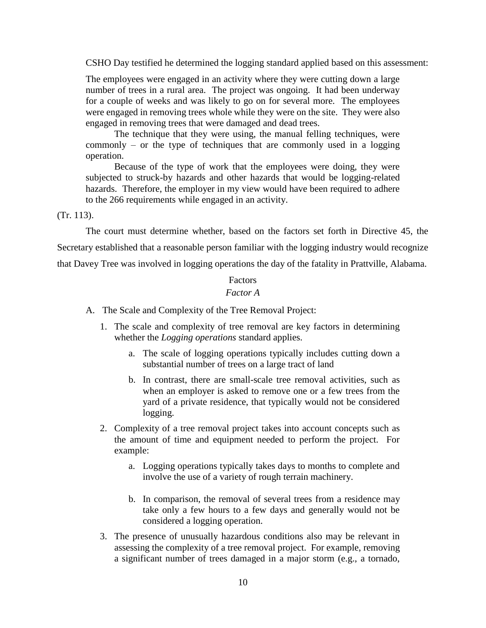CSHO Day testified he determined the logging standard applied based on this assessment:

The employees were engaged in an activity where they were cutting down a large number of trees in a rural area. The project was ongoing. It had been underway for a couple of weeks and was likely to go on for several more. The employees were engaged in removing trees whole while they were on the site. They were also engaged in removing trees that were damaged and dead trees.

The technique that they were using, the manual felling techniques, were commonly – or the type of techniques that are commonly used in a logging operation.

Because of the type of work that the employees were doing, they were subjected to struck-by hazards and other hazards that would be logging-related hazards. Therefore, the employer in my view would have been required to adhere to the 266 requirements while engaged in an activity.

### (Tr. 113).

The court must determine whether, based on the factors set forth in Directive 45, the Secretary established that a reasonable person familiar with the logging industry would recognize that Davey Tree was involved in logging operations the day of the fatality in Prattville, Alabama.

# Factors

# *Factor A*

- A. The Scale and Complexity of the Tree Removal Project:
	- 1. The scale and complexity of tree removal are key factors in determining whether the *Logging operations* standard applies.
		- a. The scale of logging operations typically includes cutting down a substantial number of trees on a large tract of land
		- b. In contrast, there are small-scale tree removal activities, such as when an employer is asked to remove one or a few trees from the yard of a private residence, that typically would not be considered logging.
	- 2. Complexity of a tree removal project takes into account concepts such as the amount of time and equipment needed to perform the project. For example:
		- a. Logging operations typically takes days to months to complete and involve the use of a variety of rough terrain machinery.
		- b. In comparison, the removal of several trees from a residence may take only a few hours to a few days and generally would not be considered a logging operation.
	- 3. The presence of unusually hazardous conditions also may be relevant in assessing the complexity of a tree removal project. For example, removing a significant number of trees damaged in a major storm (e.g., a tornado,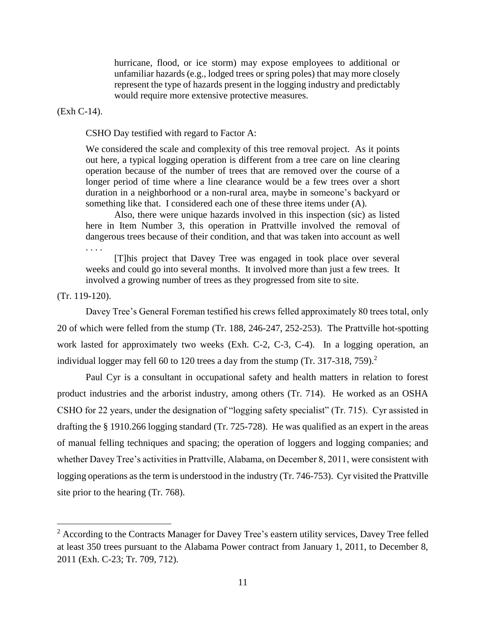hurricane, flood, or ice storm) may expose employees to additional or unfamiliar hazards (e.g., lodged trees or spring poles) that may more closely represent the type of hazards present in the logging industry and predictably would require more extensive protective measures.

(Exh C-14).

CSHO Day testified with regard to Factor A:

We considered the scale and complexity of this tree removal project. As it points out here, a typical logging operation is different from a tree care on line clearing operation because of the number of trees that are removed over the course of a longer period of time where a line clearance would be a few trees over a short duration in a neighborhood or a non-rural area, maybe in someone's backyard or something like that. I considered each one of these three items under (A).

Also, there were unique hazards involved in this inspection (sic) as listed here in Item Number 3, this operation in Prattville involved the removal of dangerous trees because of their condition, and that was taken into account as well . . . .

[T]his project that Davey Tree was engaged in took place over several weeks and could go into several months. It involved more than just a few trees. It involved a growing number of trees as they progressed from site to site.

### (Tr. 119-120).

 $\overline{a}$ 

Davey Tree's General Foreman testified his crews felled approximately 80 trees total, only 20 of which were felled from the stump (Tr. 188, 246-247, 252-253). The Prattville hot-spotting work lasted for approximately two weeks (Exh. C-2, C-3, C-4). In a logging operation, an individual logger may fell 60 to 120 trees a day from the stump (Tr. 317-318, 759).<sup>2</sup>

Paul Cyr is a consultant in occupational safety and health matters in relation to forest product industries and the arborist industry, among others (Tr. 714). He worked as an OSHA CSHO for 22 years, under the designation of "logging safety specialist" (Tr. 715). Cyr assisted in drafting the § 1910.266 logging standard (Tr. 725-728). He was qualified as an expert in the areas of manual felling techniques and spacing; the operation of loggers and logging companies; and whether Davey Tree's activities in Prattville, Alabama, on December 8, 2011, were consistent with logging operations as the term is understood in the industry (Tr. 746-753). Cyr visited the Prattville site prior to the hearing (Tr. 768).

<sup>&</sup>lt;sup>2</sup> According to the Contracts Manager for Davey Tree's eastern utility services, Davey Tree felled at least 350 trees pursuant to the Alabama Power contract from January 1, 2011, to December 8, 2011 (Exh. C-23; Tr. 709, 712).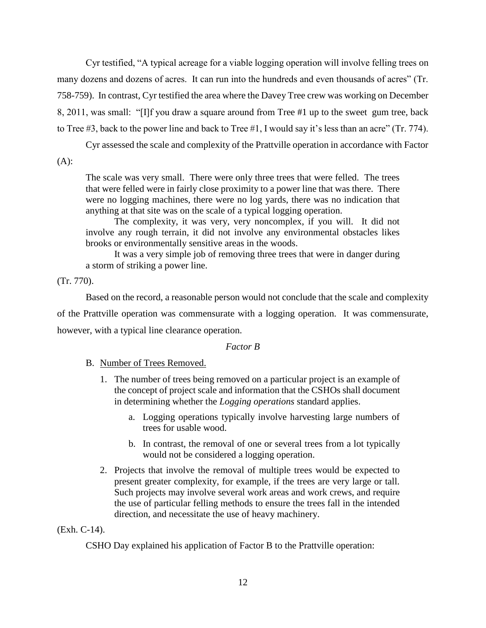Cyr testified, "A typical acreage for a viable logging operation will involve felling trees on many dozens and dozens of acres. It can run into the hundreds and even thousands of acres" (Tr. 758-759). In contrast, Cyr testified the area where the Davey Tree crew was working on December 8, 2011, was small: "[I]f you draw a square around from Tree #1 up to the sweet gum tree, back to Tree #3, back to the power line and back to Tree #1, I would say it's less than an acre" (Tr. 774).

Cyr assessed the scale and complexity of the Prattville operation in accordance with Factor

(A):

The scale was very small. There were only three trees that were felled. The trees that were felled were in fairly close proximity to a power line that was there. There were no logging machines, there were no log yards, there was no indication that anything at that site was on the scale of a typical logging operation.

The complexity, it was very, very noncomplex, if you will. It did not involve any rough terrain, it did not involve any environmental obstacles likes brooks or environmentally sensitive areas in the woods.

It was a very simple job of removing three trees that were in danger during a storm of striking a power line.

(Tr. 770).

Based on the record, a reasonable person would not conclude that the scale and complexity of the Prattville operation was commensurate with a logging operation. It was commensurate, however, with a typical line clearance operation.

### *Factor B*

- B. Number of Trees Removed.
	- 1. The number of trees being removed on a particular project is an example of the concept of project scale and information that the CSHOs shall document in determining whether the *Logging operations* standard applies.
		- a. Logging operations typically involve harvesting large numbers of trees for usable wood.
		- b. In contrast, the removal of one or several trees from a lot typically would not be considered a logging operation.
	- 2. Projects that involve the removal of multiple trees would be expected to present greater complexity, for example, if the trees are very large or tall. Such projects may involve several work areas and work crews, and require the use of particular felling methods to ensure the trees fall in the intended direction, and necessitate the use of heavy machinery.

### (Exh. C-14).

CSHO Day explained his application of Factor B to the Prattville operation: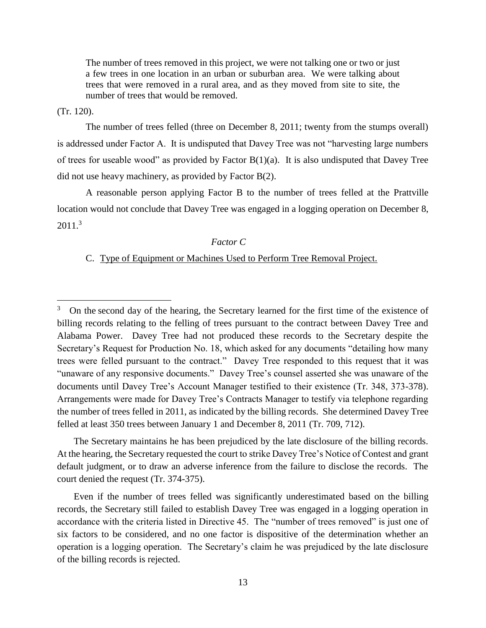The number of trees removed in this project, we were not talking one or two or just a few trees in one location in an urban or suburban area. We were talking about trees that were removed in a rural area, and as they moved from site to site, the number of trees that would be removed.

(Tr. 120).

The number of trees felled (three on December 8, 2011; twenty from the stumps overall) is addressed under Factor A. It is undisputed that Davey Tree was not "harvesting large numbers of trees for useable wood" as provided by Factor B(1)(a). It is also undisputed that Davey Tree did not use heavy machinery, as provided by Factor B(2).

A reasonable person applying Factor B to the number of trees felled at the Prattville location would not conclude that Davey Tree was engaged in a logging operation on December 8, 2011.<sup>3</sup>

# *Factor C*

# C. Type of Equipment or Machines Used to Perform Tree Removal Project.

 The Secretary maintains he has been prejudiced by the late disclosure of the billing records. At the hearing, the Secretary requested the court to strike Davey Tree's Notice of Contest and grant default judgment, or to draw an adverse inference from the failure to disclose the records. The court denied the request (Tr. 374-375).

 Even if the number of trees felled was significantly underestimated based on the billing records, the Secretary still failed to establish Davey Tree was engaged in a logging operation in accordance with the criteria listed in Directive 45. The "number of trees removed" is just one of six factors to be considered, and no one factor is dispositive of the determination whether an operation is a logging operation. The Secretary's claim he was prejudiced by the late disclosure of the billing records is rejected.

<sup>3</sup> On the second day of the hearing, the Secretary learned for the first time of the existence of billing records relating to the felling of trees pursuant to the contract between Davey Tree and Alabama Power. Davey Tree had not produced these records to the Secretary despite the Secretary's Request for Production No. 18, which asked for any documents "detailing how many trees were felled pursuant to the contract." Davey Tree responded to this request that it was "unaware of any responsive documents." Davey Tree's counsel asserted she was unaware of the documents until Davey Tree's Account Manager testified to their existence (Tr. 348, 373-378). Arrangements were made for Davey Tree's Contracts Manager to testify via telephone regarding the number of trees felled in 2011, as indicated by the billing records. She determined Davey Tree felled at least 350 trees between January 1 and December 8, 2011 (Tr. 709, 712).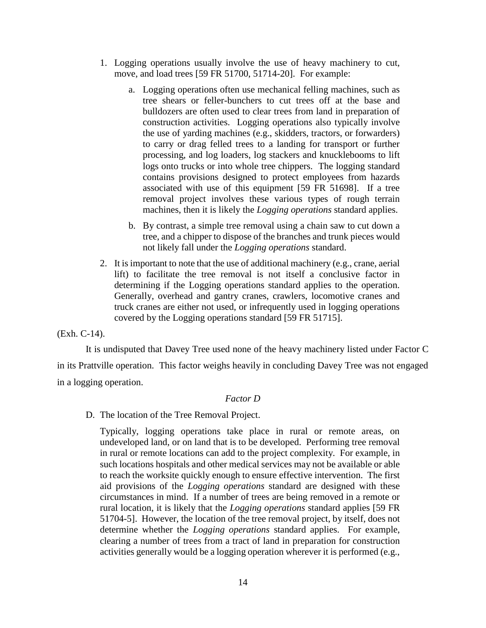- 1. Logging operations usually involve the use of heavy machinery to cut, move, and load trees [59 FR 51700, 51714-20]. For example:
	- a. Logging operations often use mechanical felling machines, such as tree shears or feller-bunchers to cut trees off at the base and bulldozers are often used to clear trees from land in preparation of construction activities. Logging operations also typically involve the use of yarding machines (e.g., skidders, tractors, or forwarders) to carry or drag felled trees to a landing for transport or further processing, and log loaders, log stackers and knucklebooms to lift logs onto trucks or into whole tree chippers. The logging standard contains provisions designed to protect employees from hazards associated with use of this equipment [59 FR 51698]. If a tree removal project involves these various types of rough terrain machines, then it is likely the *Logging operations* standard applies.
	- b. By contrast, a simple tree removal using a chain saw to cut down a tree, and a chipper to dispose of the branches and trunk pieces would not likely fall under the *Logging operations* standard.
- 2. It is important to note that the use of additional machinery (e.g., crane, aerial lift) to facilitate the tree removal is not itself a conclusive factor in determining if the Logging operations standard applies to the operation. Generally, overhead and gantry cranes, crawlers, locomotive cranes and truck cranes are either not used, or infrequently used in logging operations covered by the Logging operations standard [59 FR 51715].

(Exh. C-14).

It is undisputed that Davey Tree used none of the heavy machinery listed under Factor C in its Prattville operation. This factor weighs heavily in concluding Davey Tree was not engaged in a logging operation.

#### *Factor D*

D. The location of the Tree Removal Project.

Typically, logging operations take place in rural or remote areas, on undeveloped land, or on land that is to be developed. Performing tree removal in rural or remote locations can add to the project complexity. For example, in such locations hospitals and other medical services may not be available or able to reach the worksite quickly enough to ensure effective intervention. The first aid provisions of the *Logging operations* standard are designed with these circumstances in mind. If a number of trees are being removed in a remote or rural location, it is likely that the *Logging operations* standard applies [59 FR 51704-5]. However, the location of the tree removal project, by itself, does not determine whether the *Logging operations* standard applies. For example, clearing a number of trees from a tract of land in preparation for construction activities generally would be a logging operation wherever it is performed (e.g.,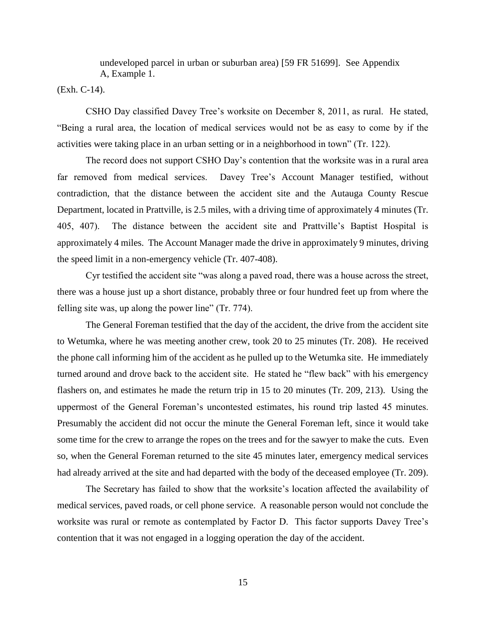undeveloped parcel in urban or suburban area) [59 FR 51699]. See Appendix A, Example 1.

(Exh. C-14).

CSHO Day classified Davey Tree's worksite on December 8, 2011, as rural. He stated, "Being a rural area, the location of medical services would not be as easy to come by if the activities were taking place in an urban setting or in a neighborhood in town" (Tr. 122).

The record does not support CSHO Day's contention that the worksite was in a rural area far removed from medical services. Davey Tree's Account Manager testified, without contradiction, that the distance between the accident site and the Autauga County Rescue Department, located in Prattville, is 2.5 miles, with a driving time of approximately 4 minutes (Tr. 405, 407). The distance between the accident site and Prattville's Baptist Hospital is approximately 4 miles. The Account Manager made the drive in approximately 9 minutes, driving the speed limit in a non-emergency vehicle (Tr. 407-408).

Cyr testified the accident site "was along a paved road, there was a house across the street, there was a house just up a short distance, probably three or four hundred feet up from where the felling site was, up along the power line" (Tr. 774).

The General Foreman testified that the day of the accident, the drive from the accident site to Wetumka, where he was meeting another crew, took 20 to 25 minutes (Tr. 208). He received the phone call informing him of the accident as he pulled up to the Wetumka site. He immediately turned around and drove back to the accident site. He stated he "flew back" with his emergency flashers on, and estimates he made the return trip in 15 to 20 minutes (Tr. 209, 213). Using the uppermost of the General Foreman's uncontested estimates, his round trip lasted 45 minutes. Presumably the accident did not occur the minute the General Foreman left, since it would take some time for the crew to arrange the ropes on the trees and for the sawyer to make the cuts. Even so, when the General Foreman returned to the site 45 minutes later, emergency medical services had already arrived at the site and had departed with the body of the deceased employee (Tr. 209).

The Secretary has failed to show that the worksite's location affected the availability of medical services, paved roads, or cell phone service. A reasonable person would not conclude the worksite was rural or remote as contemplated by Factor D. This factor supports Davey Tree's contention that it was not engaged in a logging operation the day of the accident.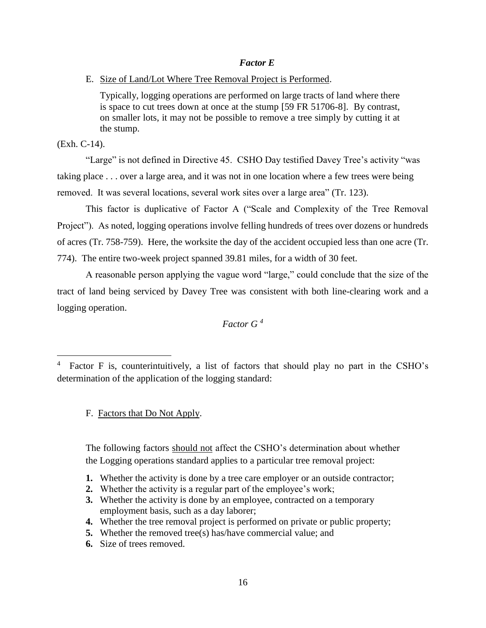## *Factor E*

E. Size of Land/Lot Where Tree Removal Project is Performed.

Typically, logging operations are performed on large tracts of land where there is space to cut trees down at once at the stump [59 FR 51706-8]. By contrast, on smaller lots, it may not be possible to remove a tree simply by cutting it at the stump.

(Exh. C-14).

 $\overline{a}$ 

"Large" is not defined in Directive 45. CSHO Day testified Davey Tree's activity "was taking place . . . over a large area, and it was not in one location where a few trees were being removed. It was several locations, several work sites over a large area" (Tr. 123).

This factor is duplicative of Factor A ("Scale and Complexity of the Tree Removal Project"). As noted, logging operations involve felling hundreds of trees over dozens or hundreds of acres (Tr. 758-759). Here, the worksite the day of the accident occupied less than one acre (Tr. 774). The entire two-week project spanned 39.81 miles, for a width of 30 feet.

A reasonable person applying the vague word "large," could conclude that the size of the tract of land being serviced by Davey Tree was consistent with both line-clearing work and a logging operation.

*Factor G <sup>4</sup>*

F. Factors that Do Not Apply.

The following factors should not affect the CSHO's determination about whether the Logging operations standard applies to a particular tree removal project:

- **1.** Whether the activity is done by a tree care employer or an outside contractor;
- **2.** Whether the activity is a regular part of the employee's work;
- **3.** Whether the activity is done by an employee, contracted on a temporary employment basis, such as a day laborer;
- **4.** Whether the tree removal project is performed on private or public property;
- **5.** Whether the removed tree(s) has/have commercial value; and
- **6.** Size of trees removed.

<sup>4</sup> Factor F is, counterintuitively, a list of factors that should play no part in the CSHO's determination of the application of the logging standard: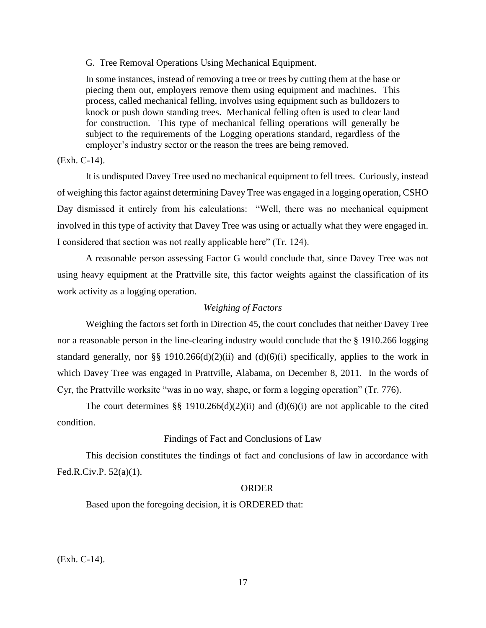G. Tree Removal Operations Using Mechanical Equipment.

In some instances, instead of removing a tree or trees by cutting them at the base or piecing them out, employers remove them using equipment and machines. This process, called mechanical felling, involves using equipment such as bulldozers to knock or push down standing trees. Mechanical felling often is used to clear land for construction. This type of mechanical felling operations will generally be subject to the requirements of the Logging operations standard, regardless of the employer's industry sector or the reason the trees are being removed.

# (Exh. C-14).

It is undisputed Davey Tree used no mechanical equipment to fell trees. Curiously, instead of weighing this factor against determining Davey Tree was engaged in a logging operation, CSHO Day dismissed it entirely from his calculations: "Well, there was no mechanical equipment involved in this type of activity that Davey Tree was using or actually what they were engaged in. I considered that section was not really applicable here" (Tr. 124).

A reasonable person assessing Factor G would conclude that, since Davey Tree was not using heavy equipment at the Prattville site, this factor weights against the classification of its work activity as a logging operation.

# *Weighing of Factors*

Weighing the factors set forth in Direction 45, the court concludes that neither Davey Tree nor a reasonable person in the line-clearing industry would conclude that the § 1910.266 logging standard generally, nor §§ 1910.266(d)(2)(ii) and (d)(6)(i) specifically, applies to the work in which Davey Tree was engaged in Prattville, Alabama, on December 8, 2011. In the words of Cyr, the Prattville worksite "was in no way, shape, or form a logging operation" (Tr. 776).

The court determines  $\S$  1910.266(d)(2)(ii) and (d)(6)(i) are not applicable to the cited condition.

# Findings of Fact and Conclusions of Law

This decision constitutes the findings of fact and conclusions of law in accordance with Fed.R.Civ.P. 52(a)(1).

### ORDER

Based upon the foregoing decision, it is ORDERED that:

 $\overline{a}$ 

<sup>(</sup>Exh. C-14).